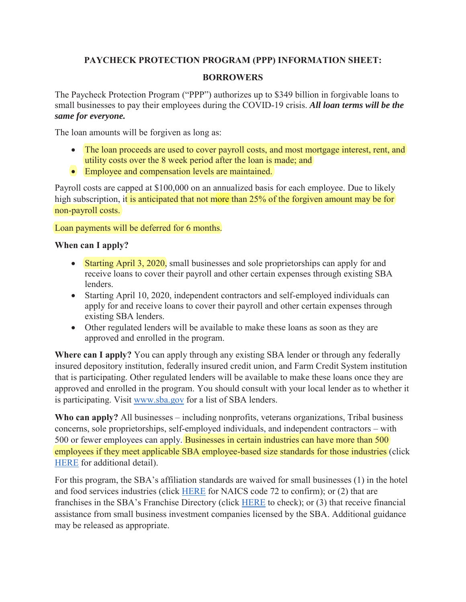# **PAYCHECK PROTECTION PROGRAM (PPP) INFORMATION SHEET:**

### **BORROWERS**

The Paycheck Protection Program ("PPP") authorizes up to \$349 billion in forgivable loans to small businesses to pay their employees during the COVID-19 crisis. *All loan terms will be the same for everyone.*

The loan amounts will be forgiven as long as:

- The loan proceeds are used to cover payroll costs, and most mortgage interest, rent, and utility costs over the 8 week period after the loan is made; and
- Employee and compensation levels are maintained.

Payroll costs are capped at \$100,000 on an annualized basis for each employee. Due to likely high subscription, it is anticipated that not more than 25% of the forgiven amount may be for non-payroll costs.

#### Loan payments will be deferred for 6 months.

# **When can I apply?**

- Starting April 3, 2020, small businesses and sole proprietorships can apply for and receive loans to cover their payroll and other certain expenses through existing SBA lenders.
- Starting April 10, 2020, independent contractors and self-employed individuals can apply for and receive loans to cover their payroll and other certain expenses through existing SBA lenders.
- Other regulated lenders will be available to make these loans as soon as they are approved and enrolled in the program.

**Where can I apply?** You can apply through any existing SBA lender or through any federally insured depository institution, federally insured credit union, and Farm Credit System institution that is participating. Other regulated lenders will be available to make these loans once they are approved and enrolled in the program. You should consult with your local lender as to whether it is participating. Visit www.sba.gov for a list of SBA lenders.

**Who can apply?** All businesses – including nonprofits, veterans organizations, Tribal business concerns, sole proprietorships, self-employed individuals, and independent contractors – with 500 or fewer employees can apply. Businesses in certain industries can have more than 500 employees if they meet applicable SBA employee-based size standards for those industries (click HERE for additional detail).

For this program, the SBA's affiliation standards are waived for small businesses (1) in the hotel and food services industries (click HERE for NAICS code 72 to confirm); or (2) that are franchises in the SBA's Franchise Directory (click HERE to check); or (3) that receive financial assistance from small business investment companies licensed by the SBA. Additional guidance may be released as appropriate.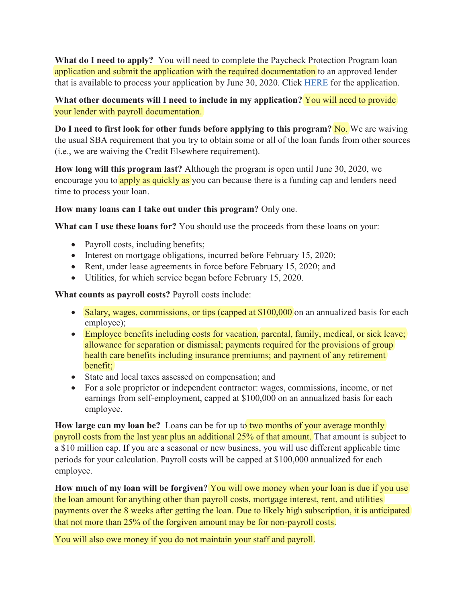**What do I need to apply?** You will need to complete the Paycheck Protection Program loan application and submit the application with the required documentation to an approved lender that is available to process your application by June 30, 2020. Click HERE for the application.

### What other documents will I need to include in my application? You will need to provide your lender with payroll documentation.

**Do I need to first look for other funds before applying to this program? No.** We are waiving the usual SBA requirement that you try to obtain some or all of the loan funds from other sources (i.e., we are waiving the Credit Elsewhere requirement).

**How long will this program last?** Although the program is open until June 30, 2020, we encourage you to apply as quickly as you can because there is a funding cap and lenders need time to process your loan.

#### **How many loans can I take out under this program?** Only one.

**What can I use these loans for?** You should use the proceeds from these loans on your:

- Payroll costs, including benefits;
- $\bullet$  Interest on mortgage obligations, incurred before February 15, 2020;
- $\bullet$  Rent, under lease agreements in force before February 15, 2020; and
- Utilities, for which service began before February 15, 2020.

**What counts as payroll costs?** Payroll costs include:

- Salary, wages, commissions, or tips (capped at  $$100,000$  on an annualized basis for each employee);
- Employee benefits including costs for vacation, parental, family, medical, or sick leave; allowance for separation or dismissal; payments required for the provisions of group health care benefits including insurance premiums; and payment of any retirement benefit;
- State and local taxes assessed on compensation; and
- For a sole proprietor or independent contractor: wages, commissions, income, or net earnings from self-employment, capped at \$100,000 on an annualized basis for each employee.

**How large can my loan be?** Loans can be for up to two months of your average monthly payroll costs from the last year plus an additional 25% of that amount. That amount is subject to a \$10 million cap. If you are a seasonal or new business, you will use different applicable time periods for your calculation. Payroll costs will be capped at \$100,000 annualized for each employee.

**How much of my loan will be forgiven?** You will owe money when your loan is due if you use the loan amount for anything other than payroll costs, mortgage interest, rent, and utilities payments over the 8 weeks after getting the loan. Due to likely high subscription, it is anticipated that not more than 25% of the forgiven amount may be for non-payroll costs.

You will also owe money if you do not maintain your staff and payroll.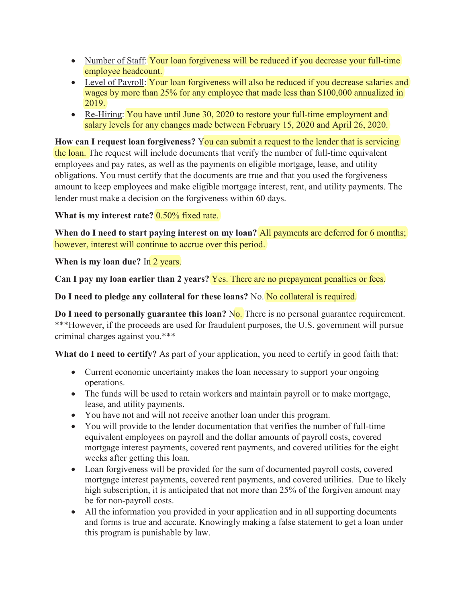- Number of Staff: Your loan forgiveness will be reduced if you decrease your full-time employee headcount.
- Level of Payroll: Your loan forgiveness will also be reduced if you decrease salaries and wages by more than 25% for any employee that made less than \$100,000 annualized in 2019.
- Re-Hiring: You have until June 30, 2020 to restore your full-time employment and salary levels for any changes made between February 15, 2020 and April 26, 2020.

**How can I request loan forgiveness?** You can submit a request to the lender that is servicing the loan. The request will include documents that verify the number of full-time equivalent employees and pay rates, as well as the payments on eligible mortgage, lease, and utility obligations. You must certify that the documents are true and that you used the forgiveness amount to keep employees and make eligible mortgage interest, rent, and utility payments. The lender must make a decision on the forgiveness within 60 days.

# **What is my interest rate?** 0.50% fixed rate.

**When do I need to start paying interest on my loan?** All payments are deferred for 6 months; however, interest will continue to accrue over this period.

**When is my loan due?** In 2 years.

**Can I pay my loan earlier than 2 years?** Yes. There are no prepayment penalties or fees.

**Do I need to pledge any collateral for these loans?** No. No collateral is required.

**Do I need to personally guarantee this loan?** No. There is no personal guarantee requirement. \*\*\*However, if the proceeds are used for fraudulent purposes, the U.S. government will pursue criminal charges against you.\*\*\*

**What do I need to certify?** As part of your application, you need to certify in good faith that:

- Current economic uncertainty makes the loan necessary to support your ongoing operations.
- The funds will be used to retain workers and maintain payroll or to make mortgage, lease, and utility payments.
- You have not and will not receive another loan under this program.
- You will provide to the lender documentation that verifies the number of full-time equivalent employees on payroll and the dollar amounts of payroll costs, covered mortgage interest payments, covered rent payments, and covered utilities for the eight weeks after getting this loan.
- Loan forgiveness will be provided for the sum of documented payroll costs, covered mortgage interest payments, covered rent payments, and covered utilities. Due to likely high subscription, it is anticipated that not more than 25% of the forgiven amount may be for non-payroll costs.
- All the information you provided in your application and in all supporting documents and forms is true and accurate. Knowingly making a false statement to get a loan under this program is punishable by law.